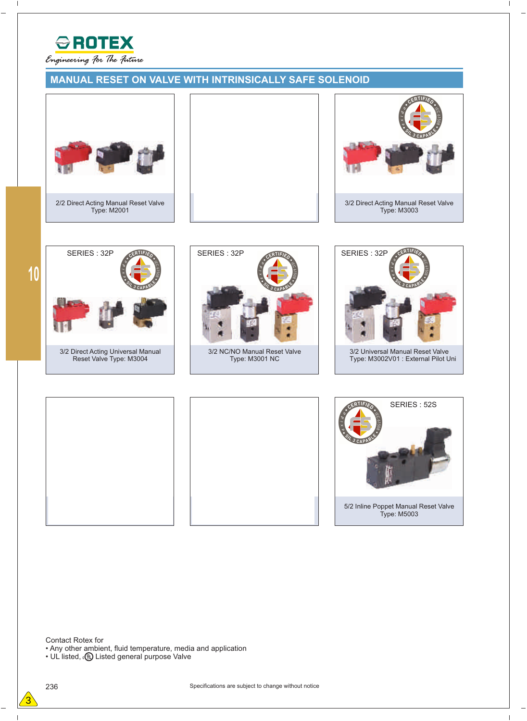

## **MANUAL RESET ON VALVE WITH INTRINSICALLY SAFE SOLENOID**



2/2 Direct Acting Manual Reset Valve Type: M2001



**10**

 $\overline{\phantom{a}}$ 

3/2 Direct Acting Universal Manual Reset Valve Type: M3004



3/2 NC/NO Manual Reset Valve Type: M3001 NC





5/2 Inline Poppet Manual Reset Valve Type: M5003 SERIES : 52S

 $\overline{\phantom{a}}$ 

Contact Rotex for

• Any other ambient, fluid temperature, media and application

 $\cdot$  UL listed,  $\cdot$  **W** Listed general purpose Valve

H